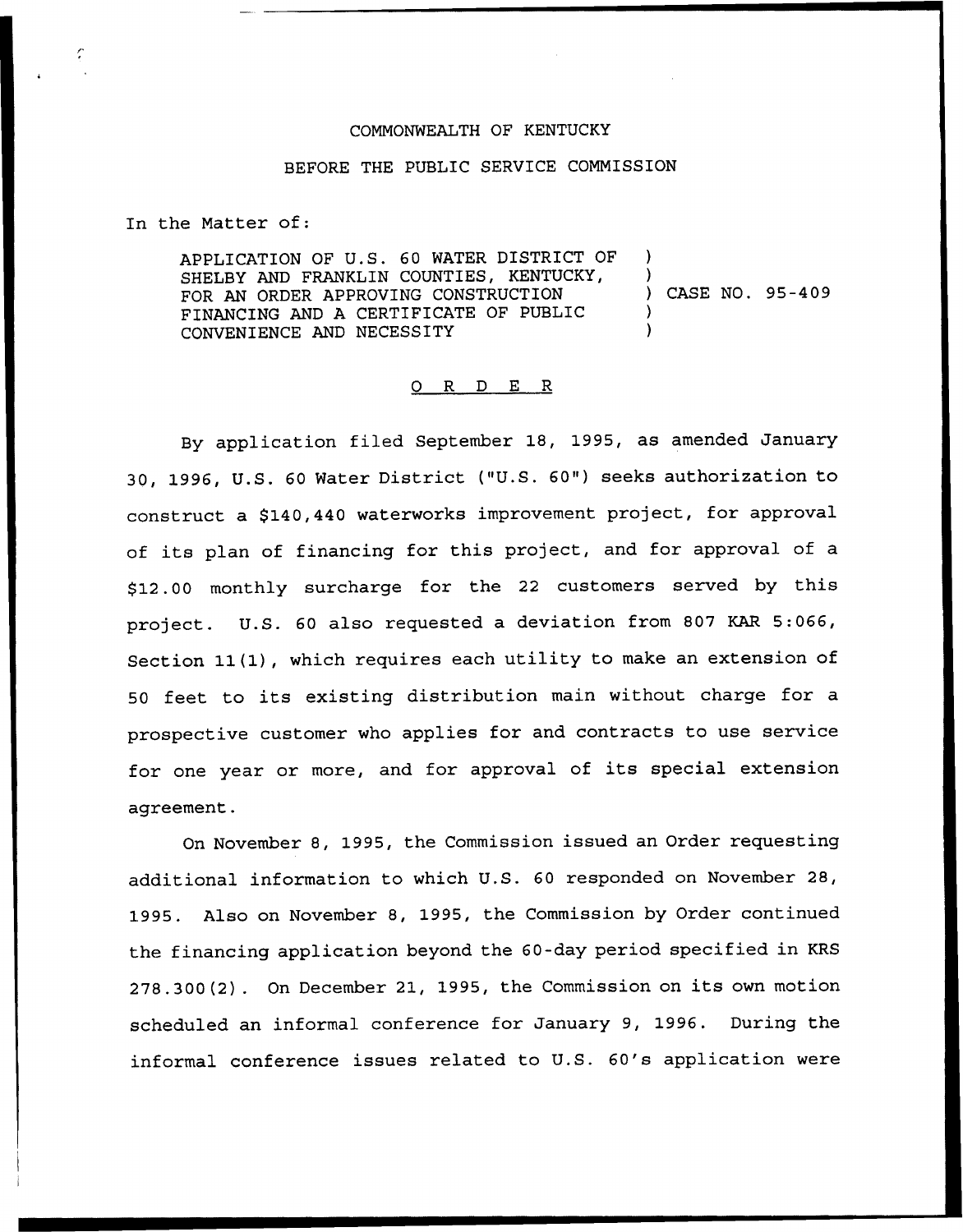## COMMONWEALTH OF KENTUCKY

## BEFORE THE PUBLIC SERVICE COMMISSION

In the Matter of:

APPLICATION OF U.S. 60 WATER DISTRICT OF SHELBY AND FRANKLIN COUNTIES, KENTUCKY, FOR AN ORDER APPROVING CONSTRUCTION FINANCING AND A CERTIFICATE OF PUBLIC CONVENIENCE AND NECESSITY ) ) ) CASE NO. 95-409 ) )

## 0 R <sup>D</sup> E R

By application filed September 18, 1995, as amended January 30, 1996, U.S. <sup>60</sup> Water District ("U.S. 60") seeks authorization to construct a \$140,440 waterworks improvement project, for approval of its plan of financing for this project, and for approval of <sup>a</sup> \$ 12.00 monthly surcharge for the <sup>22</sup> customers served by this project. U.S. <sup>60</sup> also requested <sup>a</sup> deviation from <sup>807</sup> KAR 5:066, Section 11(1), which requires each utility to make an extension of <sup>50</sup> feet to its existing distribution main without charge for <sup>a</sup> prospective customer who applies for and contracts to use service for one year or more, and for approval of its special extension agreement.

On November 8, 1995, the Commission issued an Order requesting additional information to which U.S. 60 responded on November 28, 1995. Also on November 8, 1995, the Commission by Order continued the financing application beyond the 60-day period specified in KRS 278.300(2). On December 21, 1995, the Commission on its own motion scheduled an informal conference for January 9, 1996. During the informal conference issues related to U.S. 6Q's application were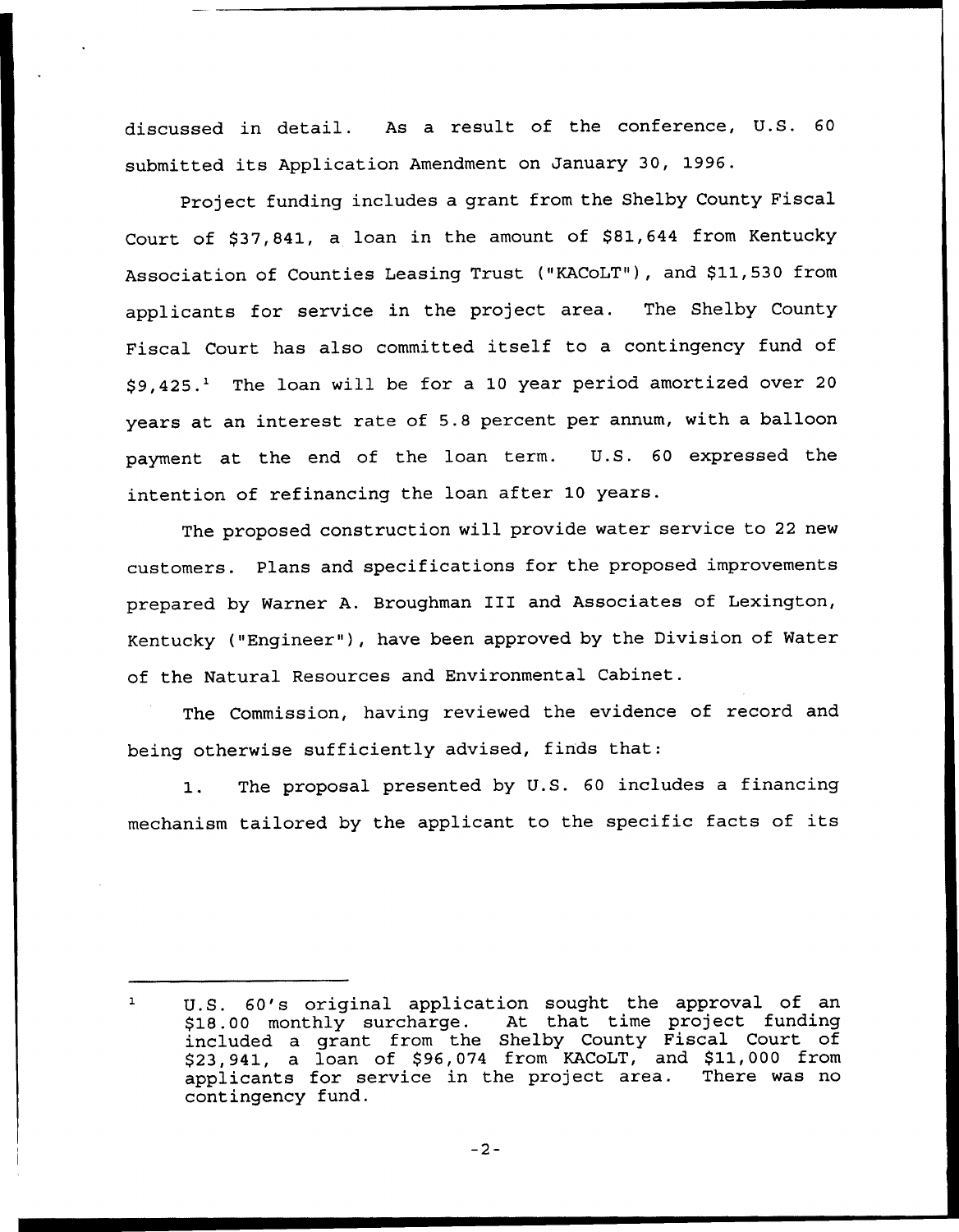discussed in detail. As a result of the conference, U.S. <sup>60</sup> submitted its Application Amendment on January 30, 1996.

Project funding includes a grant from the Shelby County Fiscal Court of \$37,841, a loan in the amount of \$81,644 from Kentucky Association of Counties Leasing Trust ("KACoLT"), and \$11,530 from applicants for service in the project area. The Shelby County Fiscal Court has also committed itself to <sup>a</sup> contingency fund of  $$9,425.<sup>1</sup>$  The loan will be for a 10 year period amortized over 20 years at an interest rate of 5.8 percent per annum, with a balloon payment at the end of the loan term. U.S. 60 expressed the intention of refinancing the loan after 10 years.

The proposed construction will provide water service to <sup>22</sup> new customers. Plans and specifications for the proposed improvements prepared by Warner A. Broughman III and Associates of Lexington, Kentucky ("Engineer" ), have been approved by the Division of Water of the Natural Resources and Environmental Cabinet.

The Commission, having reviewed the evidence of record and being otherwise sufficiently advised, finds that:

1. The proposal presented by U.S. <sup>60</sup> includes a financing mechanism tailored by the applicant to the specific facts of its

 $\mathbf{1}$ U.S. 60's original application sought the approval of an \$18.00 monthly surcharge. At that time project funding included a grant from the Shelby County Fiscal Court of \$23,941, a loan of \$96,074 from KACoLT, and \$11,000 from<br>applicants for service in the project area. There was no applicants for service in the project area. contingency fund.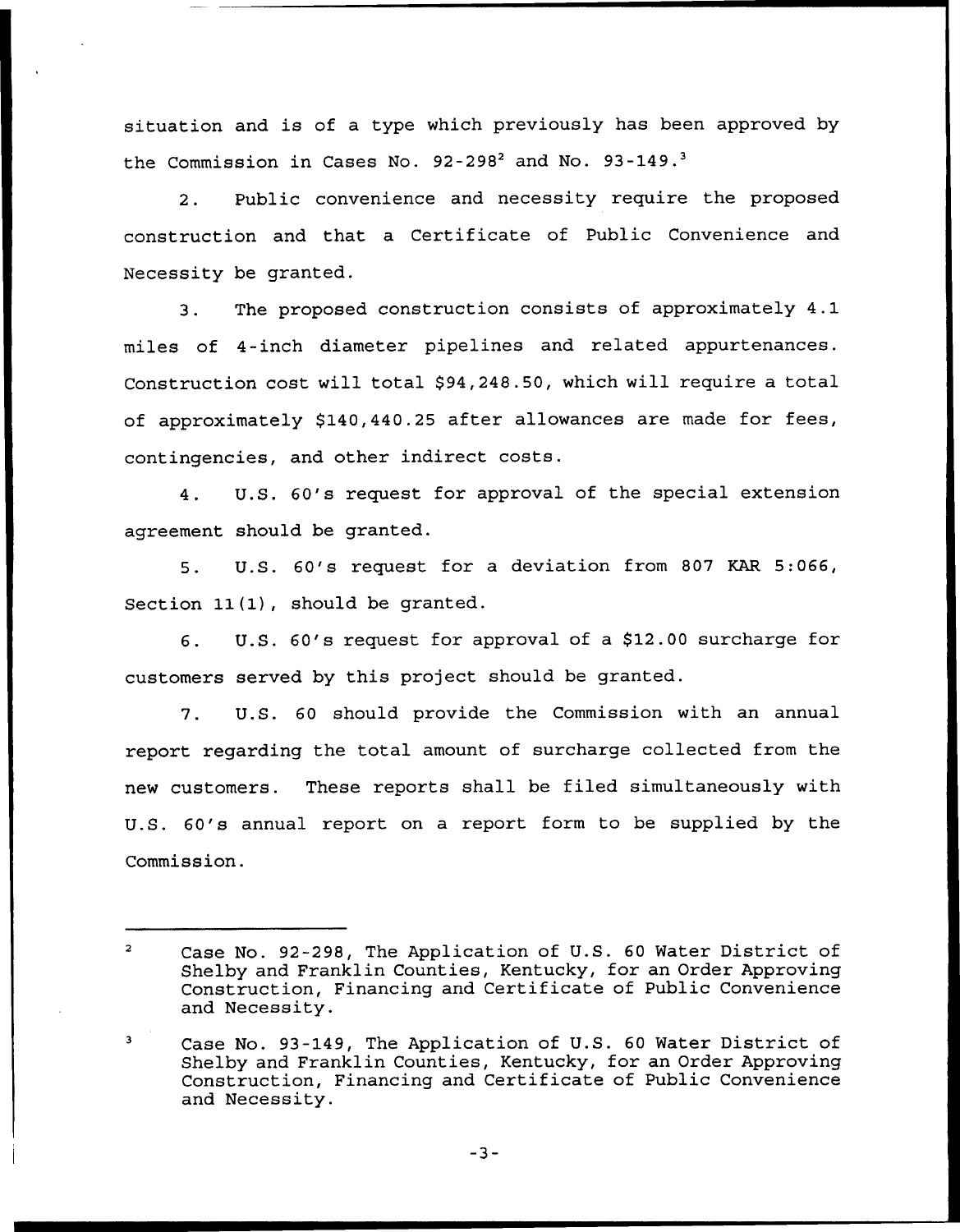situation and is of a type which previously has been approved by the Commission in Cases No.  $92-298^2$  and No.  $93-149.^3$ 

 $2.$ Public convenience and necessity require the proposed construction and that a Certificate of Public Convenience and Necessity be granted.

3. The proposed construction consists of approximately 4.1 miles of 4-inch diameter pipelines and related appurtenances. Construction cost will total \$94,248.50, which will require a total of approximately \$140,440.25 after allowances are made for fees, contingencies, and other indirect costs.

4. U.S. 60's request for approval of the special extension agreement should be granted.

5. U.S. 60's request for a deviation from 807 KAR 5:066, Section  $11(1)$ , should be granted.

6. U.S. 60's request for approval of a \$12.00 surcharge for customers served by this project should be granted.

7. U.S. 60 should provide the Commission with an annual report regarding the total amount of surcharge collected from the new customers. These reports shall be filed simultaneously with U.S. 60's annual report on a report form to be supplied by the Commission.

 $\overline{a}$ Case No. 92-298, The Application of U.S. 60 Water District of Shelby and Franklin Counties, Kentucky, for an Order Approving Construction, Financing and Certificate of Public Convenience and Necessity.

Case No. 93-149, The Application of U.S. 60 Water District of Shelby and Franklin Counties, Kentucky, for an Order Approving Construction, Financing and Certificate of Public Convenience and Necessity.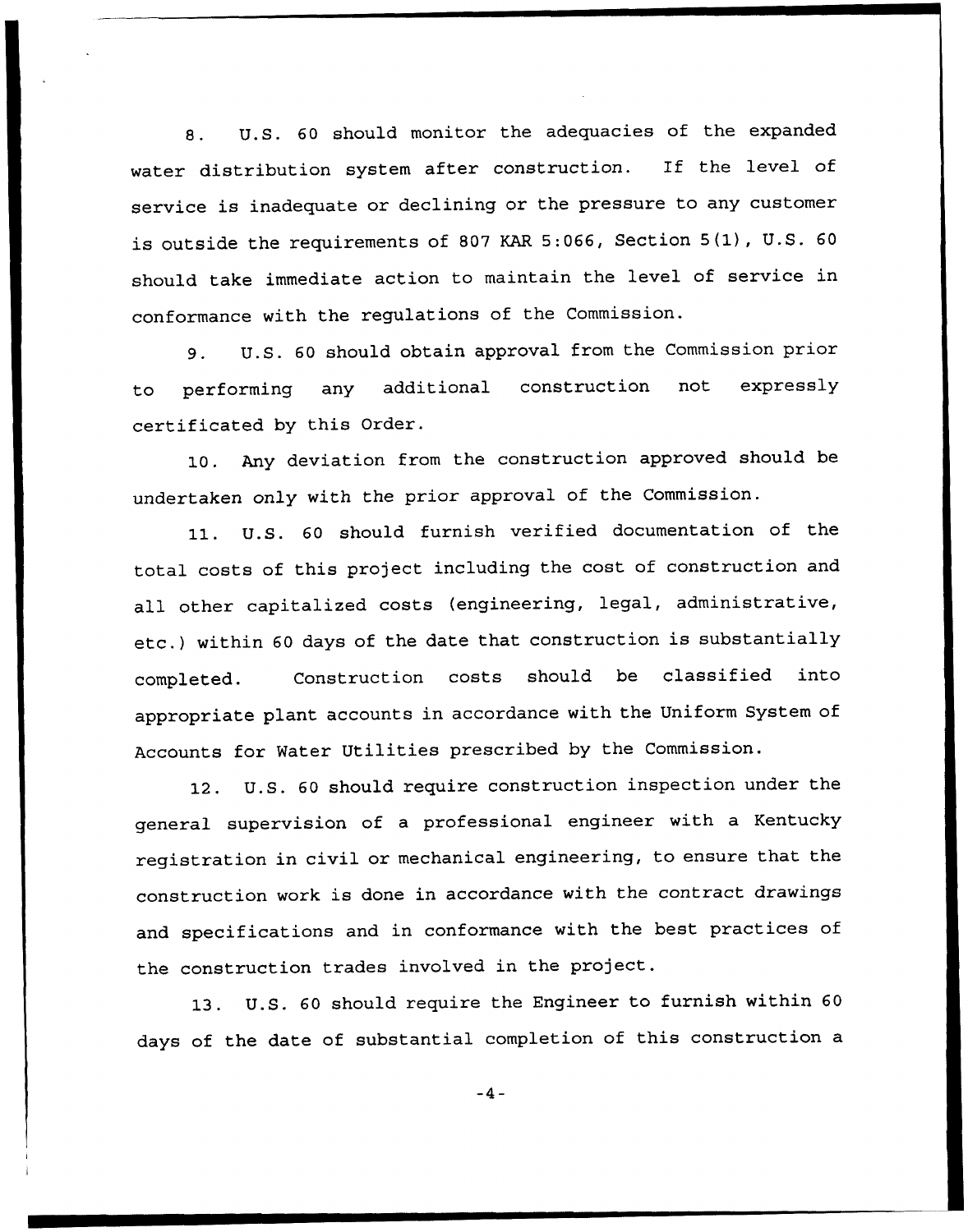8. U.S. 60 should monitor the adequacies of the expanded water distribution system after construction. Tf the level of service is inadequate or declining or the pressure to any customer is outside the requirements of <sup>807</sup> KAR 5:066, Section 5(1), U.S. <sup>60</sup> should take immediate action to maintain the level of service in conformance with the regulations of the Commission.

9. U.S. <sup>60</sup> should obtain approval from the Commission prior to performing any additional construction not expressly certificated by this Order.

10. Any deviation from the construction approved should be undertaken only with the prior approval of the Commission.

11. U.S. <sup>60</sup> should furnish verified documentation of the total costs of this project including the cost of construction and all other capitalized costs (engineering, legal, administrative, etc.) within <sup>60</sup> days of the date that construction is substantially completed. Construction costs should be classified into appropriate plant accounts in accordance with the Uniform System of Accounts for Water Utilities prescribed by the Commission.

12. U.S. 60 should require construction inspection under the general supervision of a professional engineer with a Kentucky registration in civil or mechanical engineering, to ensure that the construction work is done in accordance with the contract drawings and specifications and in conformance with the best practices of the construction trades involved in the project.

13. U.S. <sup>60</sup> should require the Engineer to furnish within <sup>60</sup> days of the date of substantial completion of this construction a

 $-4-$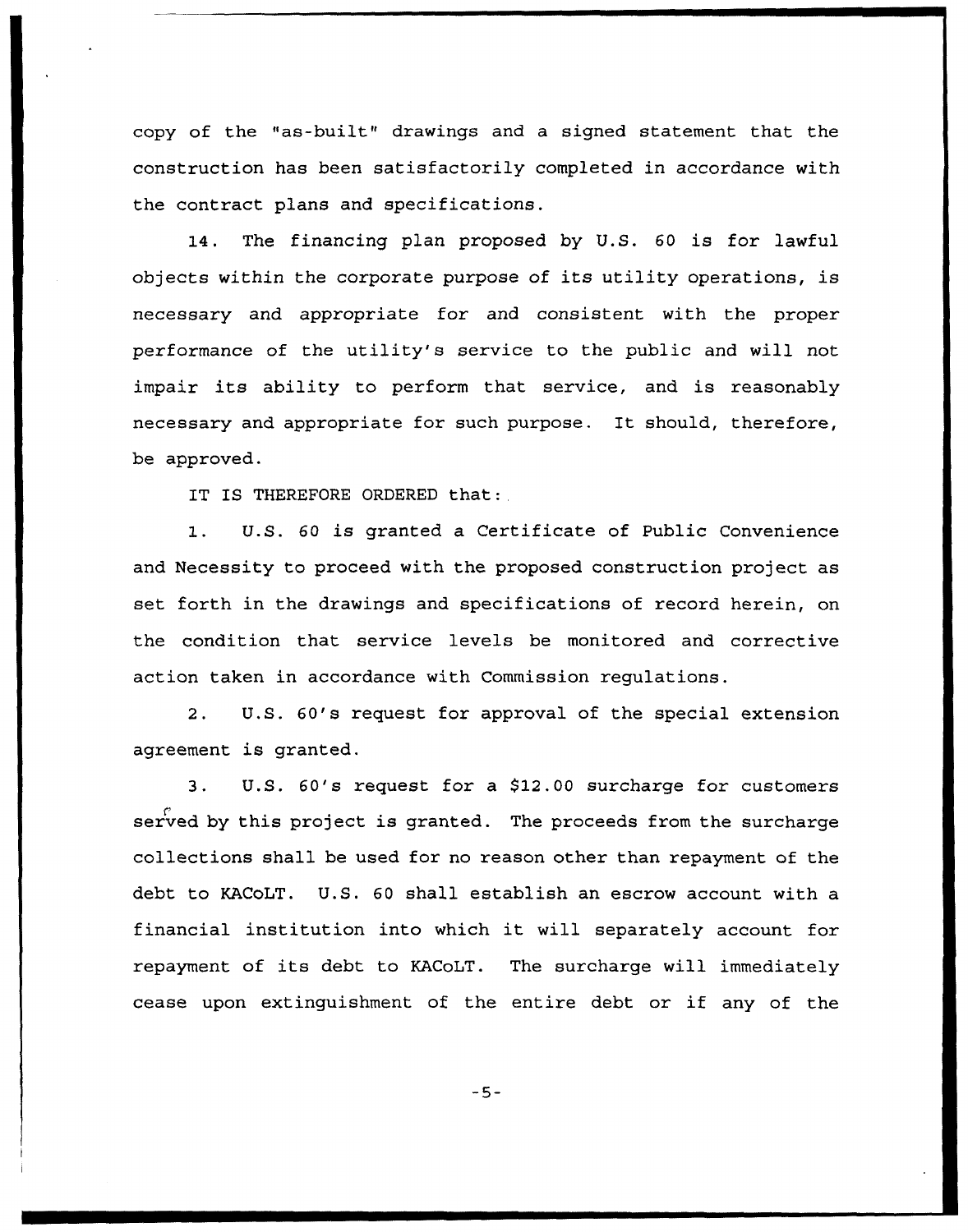copy of the "as-built" drawings and a signed statement that the construction has been satisfactorily completed in accordance with the contract plans and specifications.

14. The financing plan proposed by U.S. 60 is for lawful objects within the corporate purpose of its utility operations, is necessary and appropriate for and consistent with the proper performance of the utility's service to the public and will not impair its ability to perform that service, and is reasonably necessary and appropriate for such purpose. It should, therefore, be approved.

IT IS THEREFORE ORDERED that:

1. U.S. <sup>60</sup> is granted <sup>a</sup> Certificate of Public Convenience and Necessity to proceed with the proposed construction project as set forth in the drawings and specifications of record herein, on the condition that service levels be monitored and corrective action taken in accordance with Commission regulations.

2. U.S. 60's request for approval of the special extension agreement is granted.

3. U.S. 60's request for a \$12.00 surcharge for customers served by this project is granted. The proceeds from the surcharge collections shall be used for no reason other than repayment of the debt to KACoLT. U.S. 60 shall establish an escrow account with a financial institution into which it will separately account for repayment of its debt to KACoLT. The surcharge will immediately cease upon extinguishment of the entire debt or if any of the

 $-5-$